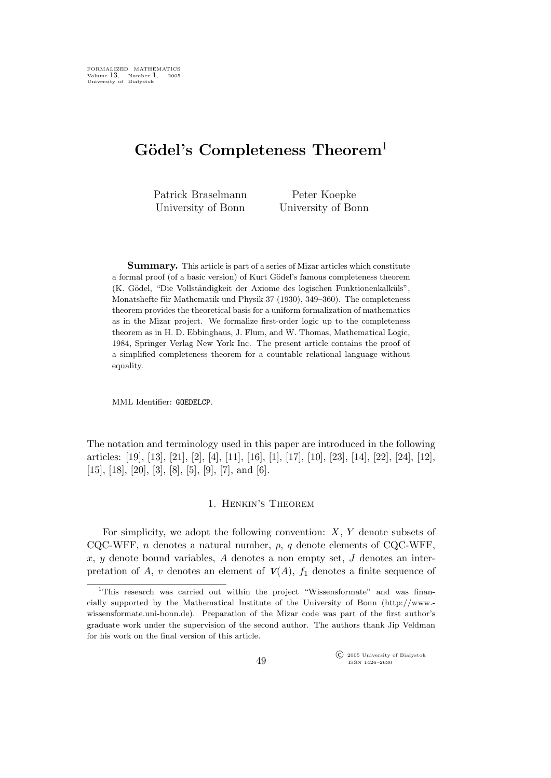# $Gödel's$  Completeness Theorem<sup>1</sup>

Patrick Braselmann University of Bonn

Peter Koepke University of Bonn

Summary. This article is part of a series of Mizar articles which constitute a formal proof (of a basic version) of Kurt Gödel's famous completeness theorem (K. Gödel, "Die Vollständigkeit der Axiome des logischen Funktionenkalküls", Monatshefte für Mathematik und Physik 37 (1930), 349–360). The completeness theorem provides the theoretical basis for a uniform formalization of mathematics as in the Mizar project. We formalize first-order logic up to the completeness theorem as in H. D. Ebbinghaus, J. Flum, and W. Thomas, Mathematical Logic, 1984, Springer Verlag New York Inc. The present article contains the proof of a simplified completeness theorem for a countable relational language without equality.

MML Identifier: GOEDELCP.

The notation and terminology used in this paper are introduced in the following articles: [19], [13], [21], [2], [4], [11], [16], [1], [17], [10], [23], [14], [22], [24], [12],  $[15]$ ,  $[18]$ ,  $[20]$ ,  $[3]$ ,  $[8]$ ,  $[5]$ ,  $[9]$ ,  $[7]$ , and  $[6]$ .

## 1. Henkin's Theorem

For simplicity, we adopt the following convention:  $X, Y$  denote subsets of CQC-WFF, n denotes a natural number,  $p$ , q denote elements of CQC-WFF,  $x, y$  denote bound variables, A denotes a non empty set, J denotes an interpretation of A, v denotes an element of  $V(A)$ ,  $f_1$  denotes a finite sequence of

 $\widehat{\mathbb{C}}$  2005 University of Bia lystok ISSN 1426–2630

<sup>&</sup>lt;sup>1</sup>This research was carried out within the project "Wissensformate" and was financially supported by the Mathematical Institute of the University of Bonn (http://www. wissensformate.uni-bonn.de). Preparation of the Mizar code was part of the first author's graduate work under the supervision of the second author. The authors thank Jip Veldman for his work on the final version of this article.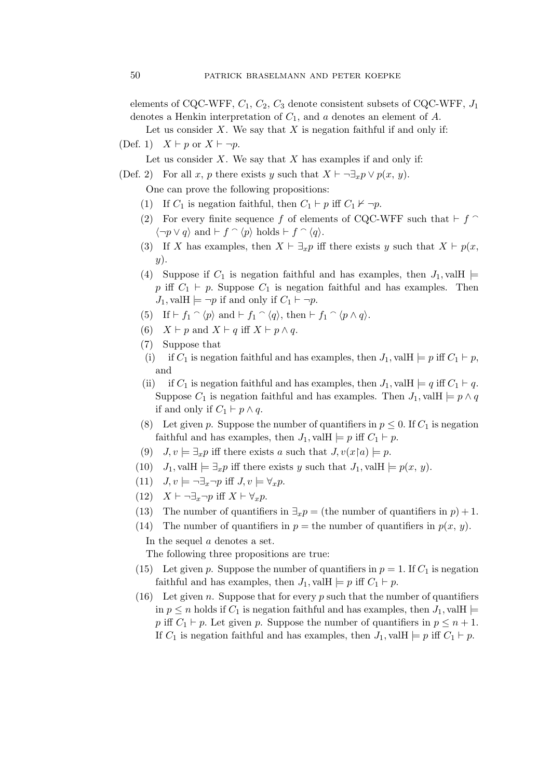elements of CQC-WFF,  $C_1$ ,  $C_2$ ,  $C_3$  denote consistent subsets of CQC-WFF,  $J_1$ denotes a Henkin interpretation of  $C_1$ , and a denotes an element of A.

Let us consider  $X$ . We say that  $X$  is negation faithful if and only if:

(Def. 1)  $X \vdash p$  or  $X \vdash \neg p$ .

Let us consider  $X$ . We say that  $X$  has examples if and only if:

(Def. 2) For all x, p there exists y such that  $X \vdash \neg \exists_x p \lor p(x, y)$ .

One can prove the following propositions:

- (1) If  $C_1$  is negation faithful, then  $C_1 \vdash p$  iff  $C_1 \nvdash \neg p$ .
- (2) For every finite sequence f of elements of CQC-WFF such that  $\vdash$  f  $\cap$  $\langle \neg p \vee q \rangle$  and  $\vdash f \cap \langle p \rangle$  holds  $\vdash f \cap \langle q \rangle$ .
- (3) If X has examples, then  $X \vdash \exists_x p$  iff there exists y such that  $X \vdash p(x, \bot)$  $y)$ .
- (4) Suppose if  $C_1$  is negation faithful and has examples, then  $J_1$ , valle p iff  $C_1 \vdash p$ . Suppose  $C_1$  is negation faithful and has examples. Then  $J_1$ , valH  $\models \neg p$  if and only if  $C_1 \vdash \neg p$ .
- (5) If  $\vdash f_1 \cap \langle p \rangle$  and  $\vdash f_1 \cap \langle q \rangle$ , then  $\vdash f_1 \cap \langle p \land q \rangle$ .
- (6)  $X \vdash p$  and  $X \vdash q$  iff  $X \vdash p \land q$ .
- (7) Suppose that
- (i) if  $C_1$  is negation faithful and has examples, then  $J_1$ , val $H \models p$  iff  $C_1 \models p$ , and
- (ii) if  $C_1$  is negation faithful and has examples, then  $J_1$ , vallet  $\models q$  iff  $C_1 \models q$ . Suppose  $C_1$  is negation faithful and has examples. Then  $J_1$ , vallet  $\models p \land q$ if and only if  $C_1$  ⊢  $p \wedge q$ .
- (8) Let given p. Suppose the number of quantifiers in  $p \leq 0$ . If  $C_1$  is negation faithful and has examples, then  $J_1$ , val $H \models p$  iff  $C_1 \models p$ .
- (9)  $J, v \models \exists_x p$  iff there exists a such that  $J, v(x \upharpoonright a) \models p$ .
- (10)  $J_1$ , valH  $\models \exists_x p$  iff there exists y such that  $J_1$ , valH  $\models p(x, y)$ .
- (11)  $J, v \models \neg \exists_x \neg p \text{ iff } J, v \models \forall_x p.$
- (12)  $X \vdash \neg \exists_x \neg p \text{ iff } X \vdash \forall_x p.$
- (13) The number of quantifiers in  $\exists_x p =$  (the number of quantifiers in  $p$ ) + 1.
- (14) The number of quantifiers in  $p =$  the number of quantifiers in  $p(x, y)$ .

In the sequel a denotes a set.

The following three propositions are true:

- (15) Let given p. Suppose the number of quantifiers in  $p = 1$ . If  $C_1$  is negation faithful and has examples, then  $J_1$ , valH  $\models p$  iff  $C_1 \vdash p$ .
- (16) Let given n. Suppose that for every p such that the number of quantifiers in  $p \leq n$  holds if  $C_1$  is negation faithful and has examples, then  $J_1$ , valle p iff  $C_1 \vdash p$ . Let given p. Suppose the number of quantifiers in  $p \leq n+1$ . If  $C_1$  is negation faithful and has examples, then  $J_1$ , vallet  $\models p$  iff  $C_1 \vdash p$ .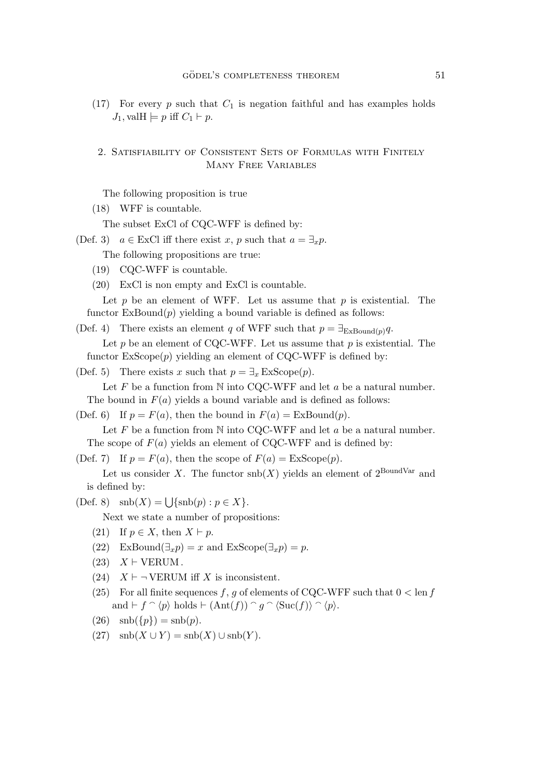(17) For every p such that  $C_1$  is negation faithful and has examples holds  $J_1$ , val $H \models p$  iff  $C_1 \vdash p$ .

## 2. Satisfiability of Consistent Sets of Formulas with Finitely Many Free Variables

The following proposition is true

(18) WFF is countable.

The subset ExCl of CQC-WFF is defined by:

(Def. 3)  $a \in \text{ExCl}$  iff there exist x, p such that  $a = \exists_x p$ .

The following propositions are true:

- (19) CQC-WFF is countable.
- (20) ExCl is non empty and ExCl is countable.

Let p be an element of WFF. Let us assume that p is existential. The functor  $ExBound(p)$  yielding a bound variable is defined as follows:

(Def. 4) There exists an element q of WFF such that  $p = \exists_{\text{ExBound}(p)} q$ .

Let  $p$  be an element of CQC-WFF. Let us assume that  $p$  is existential. The functor  $ExScope(p)$  yielding an element of CQC-WFF is defined by:

(Def. 5) There exists x such that  $p = \exists_x \text{ExScope}(p)$ .

Let  $F$  be a function from  $N$  into CQC-WFF and let  $a$  be a natural number. The bound in  $F(a)$  yields a bound variable and is defined as follows:

(Def. 6) If  $p = F(a)$ , then the bound in  $F(a) =$  ExBound $(p)$ .

Let  $F$  be a function from  $N$  into CQC-WFF and let  $a$  be a natural number. The scope of  $F(a)$  yields an element of CQC-WFF and is defined by:

(Def. 7) If  $p = F(a)$ , then the scope of  $F(a) = \text{ExScope}(p)$ .

Let us consider X. The functor  $\text{snb}(X)$  yields an element of  $2^{\text{BoundVar}}$  and is defined by:

(Def. 8)  $\operatorname{snb}(X) = \bigcup \{\operatorname{snb}(p) : p \in X\}.$ 

Next we state a number of propositions:

- (21) If  $p \in X$ , then  $X \vdash p$ .
- (22) ExBound $(\exists_x p) = x$  and ExScope $(\exists_x p) = p$ .
- $(23)$   $X \vdash \text{VERUM}$ .
- (24)  $X \vdash \neg$  VERUM iff X is inconsistent.
- (25) For all finite sequences f, g of elements of CQC-WFF such that  $0 < \text{len } f$ and  $\vdash f \cap \langle p \rangle$  holds  $\vdash (\text{Ant}(f)) \cap g \cap \langle \text{Suc}(f) \rangle \cap \langle p \rangle$ .
- (26)  $\text{snb}(\{p\}) = \text{snb}(p)$ .
- (27)  $\operatorname{snb}(X \cup Y) = \operatorname{snb}(X) \cup \operatorname{snb}(Y)$ .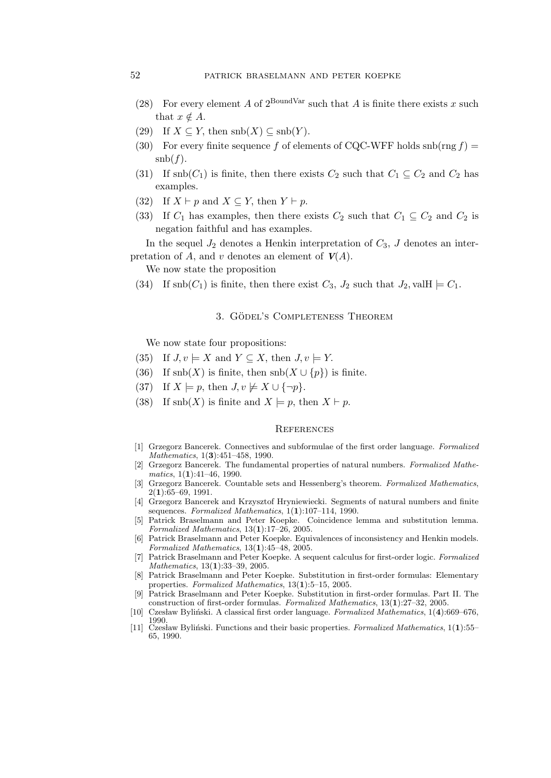- (28) For every element A of  $2^{\text{BoundVar}}$  such that A is finite there exists x such that  $x \notin A$ .
- (29) If  $X \subseteq Y$ , then  $\text{snb}(X) \subseteq \text{snb}(Y)$ .
- (30) For every finite sequence f of elements of CQC-WFF holds  $\text{snb}(\text{rng } f)$  =  $\operatorname{snb}(f)$ .
- (31) If  $\text{snb}(C_1)$  is finite, then there exists  $C_2$  such that  $C_1 \subseteq C_2$  and  $C_2$  has examples.
- (32) If  $X \vdash p$  and  $X \subseteq Y$ , then  $Y \vdash p$ .
- (33) If  $C_1$  has examples, then there exists  $C_2$  such that  $C_1 \subseteq C_2$  and  $C_2$  is negation faithful and has examples.

In the sequel  $J_2$  denotes a Henkin interpretation of  $C_3$ , J denotes an interpretation of A, and v denotes an element of  $V(A)$ .

We now state the proposition

(34) If  $\text{snb}(C_1)$  is finite, then there exist  $C_3$ ,  $J_2$  such that  $J_2$ , vallet  $\models C_1$ .

#### 3. GÖDEL'S COMPLETENESS THEOREM

We now state four propositions:

- (35) If  $J, v \models X$  and  $Y \subseteq X$ , then  $J, v \models Y$ .
- (36) If  $\text{snb}(X)$  is finite, then  $\text{snb}(X \cup \{p\})$  is finite.
- (37) If  $X \models p$ , then  $J, v \not\models X \cup {\neg p}$ .
- (38) If snb(X) is finite and  $X \models p$ , then  $X \models p$ .

### **REFERENCES**

- [1] Grzegorz Bancerek. Connectives and subformulae of the first order language. Formalized Mathematics, 1(3):451-458, 1990.
- [2] Grzegorz Bancerek. The fundamental properties of natural numbers. Formalized Mathematics,  $1(1):41-46$ , 1990.
- [3] Grzegorz Bancerek. Countable sets and Hessenberg's theorem. Formalized Mathematics, 2(1):65–69, 1991.
- [4] Grzegorz Bancerek and Krzysztof Hryniewiecki. Segments of natural numbers and finite sequences. Formalized Mathematics, 1(1):107-114, 1990.
- [5] Patrick Braselmann and Peter Koepke. Coincidence lemma and substitution lemma. Formalized Mathematics, 13(1):17–26, 2005.
- [6] Patrick Braselmann and Peter Koepke. Equivalences of inconsistency and Henkin models. Formalized Mathematics, 13(1):45–48, 2005.
- [7] Patrick Braselmann and Peter Koepke. A sequent calculus for first-order logic. Formalized Mathematics, 13(1):33–39, 2005.
- [8] Patrick Braselmann and Peter Koepke. Substitution in first-order formulas: Elementary properties. Formalized Mathematics,  $13(1)$ :5–15, 2005.
- [9] Patrick Braselmann and Peter Koepke. Substitution in first-order formulas. Part II. The construction of first-order formulas. Formalized Mathematics, 13(1):27–32, 2005.
- [10] Czesław Byliński. A classical first order language. Formalized Mathematics, 1(4):669–676, 1990.<br>
[11] Czesław Byliński. Functions and their basic properties. Formalized Mathematics, 1(1):55–
- 65, 1990.